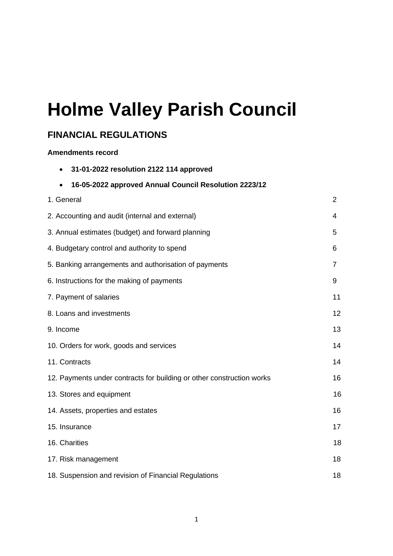# **Holme Valley Parish Council**

# **FINANCIAL REGULATIONS**

#### **Amendments record**

| 31-01-2022 resolution 2122 114 approved                               |                |
|-----------------------------------------------------------------------|----------------|
| 16-05-2022 approved Annual Council Resolution 2223/12                 |                |
| 1. General                                                            | $\overline{2}$ |
| 2. Accounting and audit (internal and external)                       | 4              |
| 3. Annual estimates (budget) and forward planning                     | 5              |
| 4. Budgetary control and authority to spend                           | 6              |
| 5. Banking arrangements and authorisation of payments                 | 7              |
| 6. Instructions for the making of payments                            | 9              |
| 7. Payment of salaries                                                | 11             |
| 8. Loans and investments                                              | 12             |
| 9. Income                                                             | 13             |
| 10. Orders for work, goods and services                               | 14             |
| 11. Contracts                                                         | 14             |
| 12. Payments under contracts for building or other construction works | 16             |
| 13. Stores and equipment                                              | 16             |
| 14. Assets, properties and estates                                    | 16             |
| 15. Insurance                                                         | 17             |
| 16. Charities                                                         | 18             |
| 17. Risk management                                                   | 18             |
| 18. Suspension and revision of Financial Regulations                  | 18             |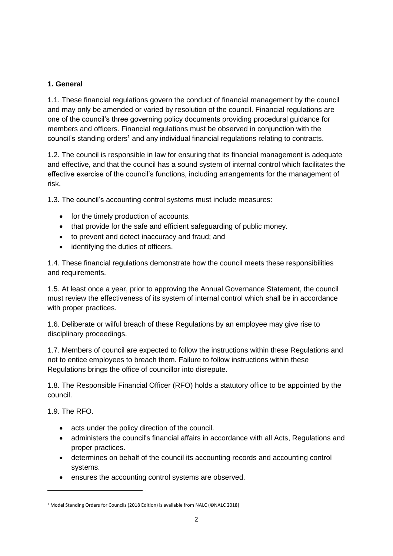# **1. General**

1.1. These financial regulations govern the conduct of financial management by the council and may only be amended or varied by resolution of the council. Financial regulations are one of the council's three governing policy documents providing procedural guidance for members and officers. Financial regulations must be observed in conjunction with the council's standing orders<sup>1</sup> and any individual financial regulations relating to contracts.

1.2. The council is responsible in law for ensuring that its financial management is adequate and effective, and that the council has a sound system of internal control which facilitates the effective exercise of the council's functions, including arrangements for the management of risk.

1.3. The council's accounting control systems must include measures:

- for the timely production of accounts.
- that provide for the safe and efficient safeguarding of public money.
- to prevent and detect inaccuracy and fraud; and
- identifying the duties of officers.

1.4. These financial regulations demonstrate how the council meets these responsibilities and requirements.

1.5. At least once a year, prior to approving the Annual Governance Statement, the council must review the effectiveness of its system of internal control which shall be in accordance with proper practices.

1.6. Deliberate or wilful breach of these Regulations by an employee may give rise to disciplinary proceedings.

1.7. Members of council are expected to follow the instructions within these Regulations and not to entice employees to breach them. Failure to follow instructions within these Regulations brings the office of councillor into disrepute.

1.8. The Responsible Financial Officer (RFO) holds a statutory office to be appointed by the council.

1.9. The RFO.

- acts under the policy direction of the council.
- administers the council's financial affairs in accordance with all Acts, Regulations and proper practices.
- determines on behalf of the council its accounting records and accounting control systems.
- ensures the accounting control systems are observed.

<sup>1</sup> Model Standing Orders for Councils (2018 Edition) is available from NALC (©NALC 2018)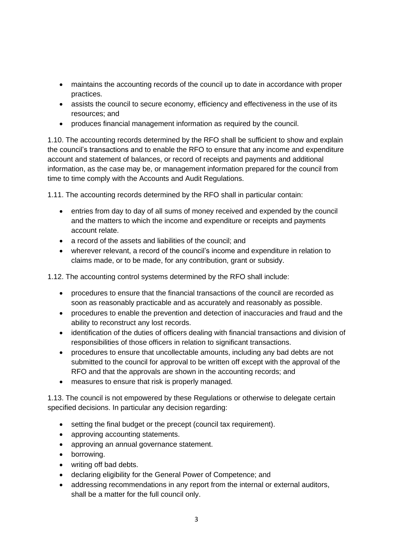- maintains the accounting records of the council up to date in accordance with proper practices.
- assists the council to secure economy, efficiency and effectiveness in the use of its resources; and
- produces financial management information as required by the council.

1.10. The accounting records determined by the RFO shall be sufficient to show and explain the council's transactions and to enable the RFO to ensure that any income and expenditure account and statement of balances, or record of receipts and payments and additional information, as the case may be, or management information prepared for the council from time to time comply with the Accounts and Audit Regulations.

1.11. The accounting records determined by the RFO shall in particular contain:

- entries from day to day of all sums of money received and expended by the council and the matters to which the income and expenditure or receipts and payments account relate.
- a record of the assets and liabilities of the council: and
- wherever relevant, a record of the council's income and expenditure in relation to claims made, or to be made, for any contribution, grant or subsidy.

1.12. The accounting control systems determined by the RFO shall include:

- procedures to ensure that the financial transactions of the council are recorded as soon as reasonably practicable and as accurately and reasonably as possible.
- procedures to enable the prevention and detection of inaccuracies and fraud and the ability to reconstruct any lost records.
- identification of the duties of officers dealing with financial transactions and division of responsibilities of those officers in relation to significant transactions.
- procedures to ensure that uncollectable amounts, including any bad debts are not submitted to the council for approval to be written off except with the approval of the RFO and that the approvals are shown in the accounting records; and
- measures to ensure that risk is properly managed.

1.13. The council is not empowered by these Regulations or otherwise to delegate certain specified decisions. In particular any decision regarding:

- setting the final budget or the precept (council tax requirement).
- approving accounting statements.
- approving an annual governance statement.
- borrowing.
- writing off bad debts.
- declaring eligibility for the General Power of Competence; and
- addressing recommendations in any report from the internal or external auditors, shall be a matter for the full council only.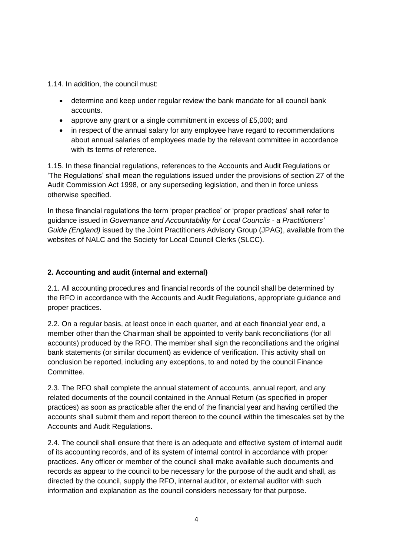1.14. In addition, the council must:

- determine and keep under regular review the bank mandate for all council bank accounts.
- approve any grant or a single commitment in excess of £5,000; and
- in respect of the annual salary for any employee have regard to recommendations about annual salaries of employees made by the relevant committee in accordance with its terms of reference

1.15. In these financial regulations, references to the Accounts and Audit Regulations or 'The Regulations' shall mean the regulations issued under the provisions of section 27 of the Audit Commission Act 1998, or any superseding legislation, and then in force unless otherwise specified.

In these financial regulations the term 'proper practice' or 'proper practices' shall refer to guidance issued in *Governance and Accountability for Local Councils - a Practitioners' Guide (England)* issued by the Joint Practitioners Advisory Group (JPAG), available from the websites of NALC and the Society for Local Council Clerks (SLCC).

# **2. Accounting and audit (internal and external)**

2.1. All accounting procedures and financial records of the council shall be determined by the RFO in accordance with the Accounts and Audit Regulations, appropriate guidance and proper practices.

2.2. On a regular basis, at least once in each quarter, and at each financial year end, a member other than the Chairman shall be appointed to verify bank reconciliations (for all accounts) produced by the RFO. The member shall sign the reconciliations and the original bank statements (or similar document) as evidence of verification. This activity shall on conclusion be reported, including any exceptions, to and noted by the council Finance Committee.

2.3. The RFO shall complete the annual statement of accounts, annual report, and any related documents of the council contained in the Annual Return (as specified in proper practices) as soon as practicable after the end of the financial year and having certified the accounts shall submit them and report thereon to the council within the timescales set by the Accounts and Audit Regulations.

2.4. The council shall ensure that there is an adequate and effective system of internal audit of its accounting records, and of its system of internal control in accordance with proper practices. Any officer or member of the council shall make available such documents and records as appear to the council to be necessary for the purpose of the audit and shall, as directed by the council, supply the RFO, internal auditor, or external auditor with such information and explanation as the council considers necessary for that purpose.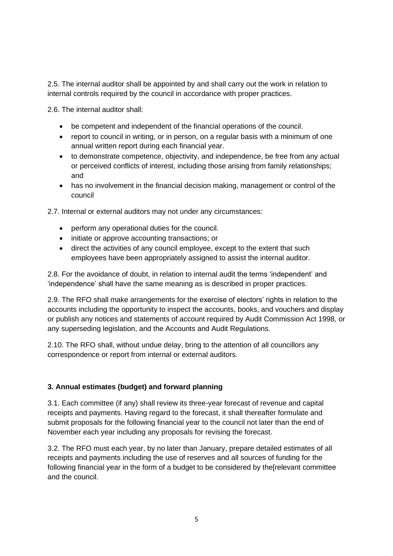2.5. The internal auditor shall be appointed by and shall carry out the work in relation to internal controls required by the council in accordance with proper practices.

2.6. The internal auditor shall:

- be competent and independent of the financial operations of the council.
- report to council in writing, or in person, on a regular basis with a minimum of one annual written report during each financial year.
- to demonstrate competence, objectivity, and independence, be free from any actual or perceived conflicts of interest, including those arising from family relationships; and
- has no involvement in the financial decision making, management or control of the council

2.7. Internal or external auditors may not under any circumstances:

- perform any operational duties for the council.
- initiate or approve accounting transactions; or
- direct the activities of any council employee, except to the extent that such employees have been appropriately assigned to assist the internal auditor.

2.8. For the avoidance of doubt, in relation to internal audit the terms 'independent' and 'independence' shall have the same meaning as is described in proper practices.

2.9. The RFO shall make arrangements for the exercise of electors' rights in relation to the accounts including the opportunity to inspect the accounts, books, and vouchers and display or publish any notices and statements of account required by Audit Commission Act 1998, or any superseding legislation, and the Accounts and Audit Regulations.

2.10. The RFO shall, without undue delay, bring to the attention of all councillors any correspondence or report from internal or external auditors.

# **3. Annual estimates (budget) and forward planning**

3.1. Each committee (if any) shall review its three-year forecast of revenue and capital receipts and payments. Having regard to the forecast, it shall thereafter formulate and submit proposals for the following financial year to the council not later than the end of November each year including any proposals for revising the forecast.

3.2. The RFO must each year, by no later than January, prepare detailed estimates of all receipts and payments including the use of reserves and all sources of funding for the following financial year in the form of a budget to be considered by the[relevant committee and the council.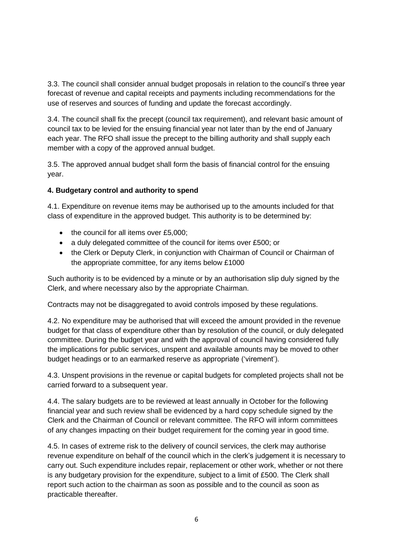3.3. The council shall consider annual budget proposals in relation to the council's three year forecast of revenue and capital receipts and payments including recommendations for the use of reserves and sources of funding and update the forecast accordingly.

3.4. The council shall fix the precept (council tax requirement), and relevant basic amount of council tax to be levied for the ensuing financial year not later than by the end of January each year. The RFO shall issue the precept to the billing authority and shall supply each member with a copy of the approved annual budget.

3.5. The approved annual budget shall form the basis of financial control for the ensuing year.

# **4. Budgetary control and authority to spend**

4.1. Expenditure on revenue items may be authorised up to the amounts included for that class of expenditure in the approved budget. This authority is to be determined by:

- the council for all items over £5,000;
- a duly delegated committee of the council for items over £500; or
- the Clerk or Deputy Clerk, in conjunction with Chairman of Council or Chairman of the appropriate committee, for any items below £1000

Such authority is to be evidenced by a minute or by an authorisation slip duly signed by the Clerk, and where necessary also by the appropriate Chairman.

Contracts may not be disaggregated to avoid controls imposed by these regulations.

4.2. No expenditure may be authorised that will exceed the amount provided in the revenue budget for that class of expenditure other than by resolution of the council, or duly delegated committee. During the budget year and with the approval of council having considered fully the implications for public services, unspent and available amounts may be moved to other budget headings or to an earmarked reserve as appropriate ('virement').

4.3. Unspent provisions in the revenue or capital budgets for completed projects shall not be carried forward to a subsequent year.

4.4. The salary budgets are to be reviewed at least annually in October for the following financial year and such review shall be evidenced by a hard copy schedule signed by the Clerk and the Chairman of Council or relevant committee. The RFO will inform committees of any changes impacting on their budget requirement for the coming year in good time.

4.5. In cases of extreme risk to the delivery of council services, the clerk may authorise revenue expenditure on behalf of the council which in the clerk's judgement it is necessary to carry out. Such expenditure includes repair, replacement or other work, whether or not there is any budgetary provision for the expenditure, subject to a limit of £500. The Clerk shall report such action to the chairman as soon as possible and to the council as soon as practicable thereafter.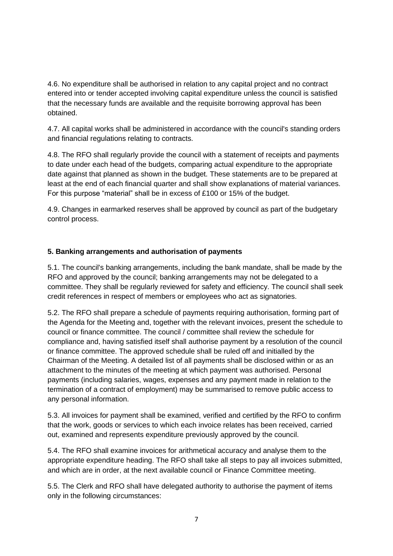4.6. No expenditure shall be authorised in relation to any capital project and no contract entered into or tender accepted involving capital expenditure unless the council is satisfied that the necessary funds are available and the requisite borrowing approval has been obtained.

4.7. All capital works shall be administered in accordance with the council's standing orders and financial regulations relating to contracts.

4.8. The RFO shall regularly provide the council with a statement of receipts and payments to date under each head of the budgets, comparing actual expenditure to the appropriate date against that planned as shown in the budget. These statements are to be prepared at least at the end of each financial quarter and shall show explanations of material variances. For this purpose "material" shall be in excess of £100 or 15% of the budget.

4.9. Changes in earmarked reserves shall be approved by council as part of the budgetary control process.

# **5. Banking arrangements and authorisation of payments**

5.1. The council's banking arrangements, including the bank mandate, shall be made by the RFO and approved by the council; banking arrangements may not be delegated to a committee. They shall be regularly reviewed for safety and efficiency. The council shall seek credit references in respect of members or employees who act as signatories.

5.2. The RFO shall prepare a schedule of payments requiring authorisation, forming part of the Agenda for the Meeting and, together with the relevant invoices, present the schedule to council or finance committee. The council / committee shall review the schedule for compliance and, having satisfied itself shall authorise payment by a resolution of the council or finance committee. The approved schedule shall be ruled off and initialled by the Chairman of the Meeting. A detailed list of all payments shall be disclosed within or as an attachment to the minutes of the meeting at which payment was authorised. Personal payments (including salaries, wages, expenses and any payment made in relation to the termination of a contract of employment) may be summarised to remove public access to any personal information.

5.3. All invoices for payment shall be examined, verified and certified by the RFO to confirm that the work, goods or services to which each invoice relates has been received, carried out, examined and represents expenditure previously approved by the council.

5.4. The RFO shall examine invoices for arithmetical accuracy and analyse them to the appropriate expenditure heading. The RFO shall take all steps to pay all invoices submitted, and which are in order, at the next available council or Finance Committee meeting.

5.5. The Clerk and RFO shall have delegated authority to authorise the payment of items only in the following circumstances: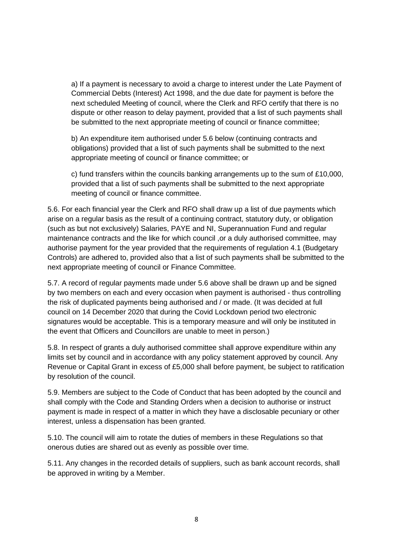a) If a payment is necessary to avoid a charge to interest under the Late Payment of Commercial Debts (Interest) Act 1998, and the due date for payment is before the next scheduled Meeting of council, where the Clerk and RFO certify that there is no dispute or other reason to delay payment, provided that a list of such payments shall be submitted to the next appropriate meeting of council or finance committee;

b) An expenditure item authorised under 5.6 below (continuing contracts and obligations) provided that a list of such payments shall be submitted to the next appropriate meeting of council or finance committee; or

c) fund transfers within the councils banking arrangements up to the sum of £10,000, provided that a list of such payments shall be submitted to the next appropriate meeting of council or finance committee.

5.6. For each financial year the Clerk and RFO shall draw up a list of due payments which arise on a regular basis as the result of a continuing contract, statutory duty, or obligation (such as but not exclusively) Salaries, PAYE and NI, Superannuation Fund and regular maintenance contracts and the like for which council , or a duly authorised committee, may authorise payment for the year provided that the requirements of regulation 4.1 (Budgetary Controls) are adhered to, provided also that a list of such payments shall be submitted to the next appropriate meeting of council or Finance Committee.

5.7. A record of regular payments made under 5.6 above shall be drawn up and be signed by two members on each and every occasion when payment is authorised - thus controlling the risk of duplicated payments being authorised and / or made. (It was decided at full council on 14 December 2020 that during the Covid Lockdown period two electronic signatures would be acceptable. This is a temporary measure and will only be instituted in the event that Officers and Councillors are unable to meet in person.)

5.8. In respect of grants a duly authorised committee shall approve expenditure within any limits set by council and in accordance with any policy statement approved by council. Any Revenue or Capital Grant in excess of £5,000 shall before payment, be subject to ratification by resolution of the council.

5.9. Members are subject to the Code of Conduct that has been adopted by the council and shall comply with the Code and Standing Orders when a decision to authorise or instruct payment is made in respect of a matter in which they have a disclosable pecuniary or other interest, unless a dispensation has been granted.

5.10. The council will aim to rotate the duties of members in these Regulations so that onerous duties are shared out as evenly as possible over time.

5.11. Any changes in the recorded details of suppliers, such as bank account records, shall be approved in writing by a Member.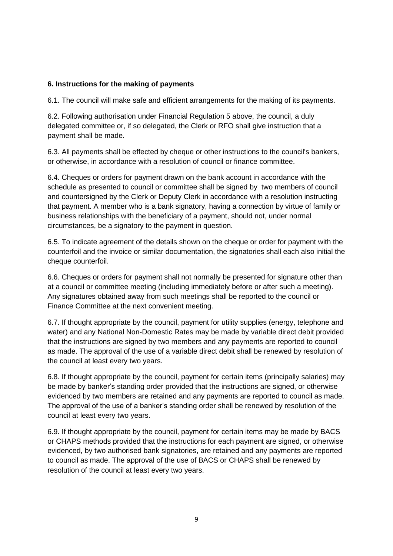### **6. Instructions for the making of payments**

6.1. The council will make safe and efficient arrangements for the making of its payments.

6.2. Following authorisation under Financial Regulation 5 above, the council, a duly delegated committee or, if so delegated, the Clerk or RFO shall give instruction that a payment shall be made.

6.3. All payments shall be effected by cheque or other instructions to the council's bankers, or otherwise, in accordance with a resolution of council or finance committee.

6.4. Cheques or orders for payment drawn on the bank account in accordance with the schedule as presented to council or committee shall be signed by two members of council and countersigned by the Clerk or Deputy Clerk in accordance with a resolution instructing that payment. A member who is a bank signatory, having a connection by virtue of family or business relationships with the beneficiary of a payment, should not, under normal circumstances, be a signatory to the payment in question.

6.5. To indicate agreement of the details shown on the cheque or order for payment with the counterfoil and the invoice or similar documentation, the signatories shall each also initial the cheque counterfoil.

6.6. Cheques or orders for payment shall not normally be presented for signature other than at a council or committee meeting (including immediately before or after such a meeting). Any signatures obtained away from such meetings shall be reported to the council or Finance Committee at the next convenient meeting.

6.7. If thought appropriate by the council, payment for utility supplies (energy, telephone and water) and any National Non-Domestic Rates may be made by variable direct debit provided that the instructions are signed by two members and any payments are reported to council as made. The approval of the use of a variable direct debit shall be renewed by resolution of the council at least every two years.

6.8. If thought appropriate by the council, payment for certain items (principally salaries) may be made by banker's standing order provided that the instructions are signed, or otherwise evidenced by two members are retained and any payments are reported to council as made. The approval of the use of a banker's standing order shall be renewed by resolution of the council at least every two years.

6.9. If thought appropriate by the council, payment for certain items may be made by BACS or CHAPS methods provided that the instructions for each payment are signed, or otherwise evidenced, by two authorised bank signatories, are retained and any payments are reported to council as made. The approval of the use of BACS or CHAPS shall be renewed by resolution of the council at least every two years.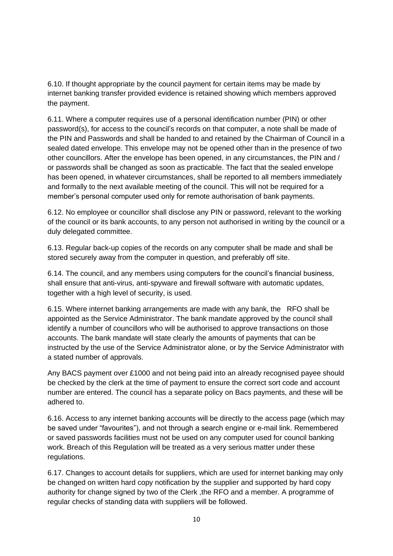6.10. If thought appropriate by the council payment for certain items may be made by internet banking transfer provided evidence is retained showing which members approved the payment.

6.11. Where a computer requires use of a personal identification number (PIN) or other password(s), for access to the council's records on that computer, a note shall be made of the PIN and Passwords and shall be handed to and retained by the Chairman of Council in a sealed dated envelope. This envelope may not be opened other than in the presence of two other councillors. After the envelope has been opened, in any circumstances, the PIN and / or passwords shall be changed as soon as practicable. The fact that the sealed envelope has been opened, in whatever circumstances, shall be reported to all members immediately and formally to the next available meeting of the council. This will not be required for a member's personal computer used only for remote authorisation of bank payments.

6.12. No employee or councillor shall disclose any PIN or password, relevant to the working of the council or its bank accounts, to any person not authorised in writing by the council or a duly delegated committee.

6.13. Regular back-up copies of the records on any computer shall be made and shall be stored securely away from the computer in question, and preferably off site.

6.14. The council, and any members using computers for the council's financial business, shall ensure that anti-virus, anti-spyware and firewall software with automatic updates, together with a high level of security, is used.

6.15. Where internet banking arrangements are made with any bank, the RFO shall be appointed as the Service Administrator. The bank mandate approved by the council shall identify a number of councillors who will be authorised to approve transactions on those accounts. The bank mandate will state clearly the amounts of payments that can be instructed by the use of the Service Administrator alone, or by the Service Administrator with a stated number of approvals.

Any BACS payment over £1000 and not being paid into an already recognised payee should be checked by the clerk at the time of payment to ensure the correct sort code and account number are entered. The council has a separate policy on Bacs payments, and these will be adhered to.

6.16. Access to any internet banking accounts will be directly to the access page (which may be saved under "favourites"), and not through a search engine or e-mail link. Remembered or saved passwords facilities must not be used on any computer used for council banking work. Breach of this Regulation will be treated as a very serious matter under these regulations.

6.17. Changes to account details for suppliers, which are used for internet banking may only be changed on written hard copy notification by the supplier and supported by hard copy authority for change signed by two of the Clerk ,the RFO and a member. A programme of regular checks of standing data with suppliers will be followed.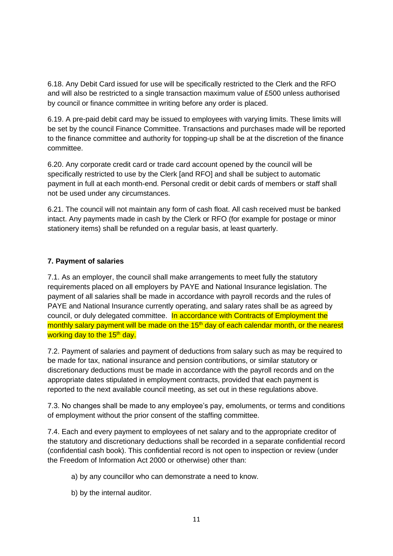6.18. Any Debit Card issued for use will be specifically restricted to the Clerk and the RFO and will also be restricted to a single transaction maximum value of £500 unless authorised by council or finance committee in writing before any order is placed.

6.19. A pre-paid debit card may be issued to employees with varying limits. These limits will be set by the council Finance Committee. Transactions and purchases made will be reported to the finance committee and authority for topping-up shall be at the discretion of the finance committee.

6.20. Any corporate credit card or trade card account opened by the council will be specifically restricted to use by the Clerk [and RFO] and shall be subject to automatic payment in full at each month-end. Personal credit or debit cards of members or staff shall not be used under any circumstances.

6.21. The council will not maintain any form of cash float. All cash received must be banked intact. Any payments made in cash by the Clerk or RFO (for example for postage or minor stationery items) shall be refunded on a regular basis, at least quarterly.

# **7. Payment of salaries**

7.1. As an employer, the council shall make arrangements to meet fully the statutory requirements placed on all employers by PAYE and National Insurance legislation. The payment of all salaries shall be made in accordance with payroll records and the rules of PAYE and National Insurance currently operating, and salary rates shall be as agreed by council, or duly delegated committee. In accordance with Contracts of Employment the monthly salary payment will be made on the 15<sup>th</sup> day of each calendar month, or the nearest working day to the 15<sup>th</sup> day.

7.2. Payment of salaries and payment of deductions from salary such as may be required to be made for tax, national insurance and pension contributions, or similar statutory or discretionary deductions must be made in accordance with the payroll records and on the appropriate dates stipulated in employment contracts, provided that each payment is reported to the next available council meeting, as set out in these regulations above.

7.3. No changes shall be made to any employee's pay, emoluments, or terms and conditions of employment without the prior consent of the staffing committee.

7.4. Each and every payment to employees of net salary and to the appropriate creditor of the statutory and discretionary deductions shall be recorded in a separate confidential record (confidential cash book). This confidential record is not open to inspection or review (under the Freedom of Information Act 2000 or otherwise) other than:

- a) by any councillor who can demonstrate a need to know.
- b) by the internal auditor.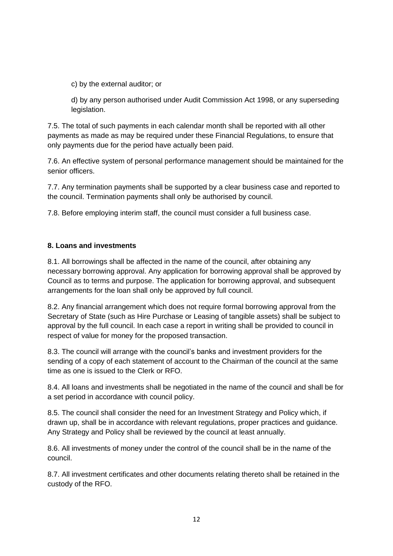c) by the external auditor; or

d) by any person authorised under Audit Commission Act 1998, or any superseding legislation.

7.5. The total of such payments in each calendar month shall be reported with all other payments as made as may be required under these Financial Regulations, to ensure that only payments due for the period have actually been paid.

7.6. An effective system of personal performance management should be maintained for the senior officers.

7.7. Any termination payments shall be supported by a clear business case and reported to the council. Termination payments shall only be authorised by council.

7.8. Before employing interim staff, the council must consider a full business case.

# **8. Loans and investments**

8.1. All borrowings shall be affected in the name of the council, after obtaining any necessary borrowing approval. Any application for borrowing approval shall be approved by Council as to terms and purpose. The application for borrowing approval, and subsequent arrangements for the loan shall only be approved by full council.

8.2. Any financial arrangement which does not require formal borrowing approval from the Secretary of State (such as Hire Purchase or Leasing of tangible assets) shall be subject to approval by the full council. In each case a report in writing shall be provided to council in respect of value for money for the proposed transaction.

8.3. The council will arrange with the council's banks and investment providers for the sending of a copy of each statement of account to the Chairman of the council at the same time as one is issued to the Clerk or RFO.

8.4. All loans and investments shall be negotiated in the name of the council and shall be for a set period in accordance with council policy.

8.5. The council shall consider the need for an Investment Strategy and Policy which, if drawn up, shall be in accordance with relevant regulations, proper practices and guidance. Any Strategy and Policy shall be reviewed by the council at least annually.

8.6. All investments of money under the control of the council shall be in the name of the council.

8.7. All investment certificates and other documents relating thereto shall be retained in the custody of the RFO.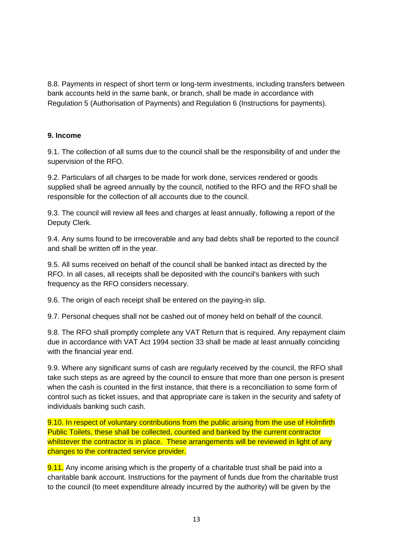8.8. Payments in respect of short term or long-term investments, including transfers between bank accounts held in the same bank, or branch, shall be made in accordance with Regulation 5 (Authorisation of Payments) and Regulation 6 (Instructions for payments).

#### **9. Income**

9.1. The collection of all sums due to the council shall be the responsibility of and under the supervision of the RFO.

9.2. Particulars of all charges to be made for work done, services rendered or goods supplied shall be agreed annually by the council, notified to the RFO and the RFO shall be responsible for the collection of all accounts due to the council.

9.3. The council will review all fees and charges at least annually, following a report of the Deputy Clerk.

9.4. Any sums found to be irrecoverable and any bad debts shall be reported to the council and shall be written off in the year.

9.5. All sums received on behalf of the council shall be banked intact as directed by the RFO. In all cases, all receipts shall be deposited with the council's bankers with such frequency as the RFO considers necessary.

9.6. The origin of each receipt shall be entered on the paying-in slip.

9.7. Personal cheques shall not be cashed out of money held on behalf of the council.

9.8. The RFO shall promptly complete any VAT Return that is required. Any repayment claim due in accordance with VAT Act 1994 section 33 shall be made at least annually coinciding with the financial year end.

9.9. Where any significant sums of cash are regularly received by the council, the RFO shall take such steps as are agreed by the council to ensure that more than one person is present when the cash is counted in the first instance, that there is a reconciliation to some form of control such as ticket issues, and that appropriate care is taken in the security and safety of individuals banking such cash.

9.10. In respect of voluntary contributions from the public arising from the use of Holmfirth Public Toilets, these shall be collected, counted and banked by the current contractor whilstever the contractor is in place. These arrangements will be reviewed in light of any changes to the contracted service provider.

9.11. Any income arising which is the property of a charitable trust shall be paid into a charitable bank account. Instructions for the payment of funds due from the charitable trust to the council (to meet expenditure already incurred by the authority) will be given by the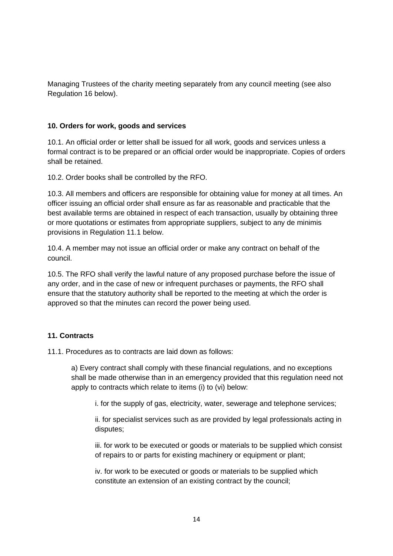Managing Trustees of the charity meeting separately from any council meeting (see also Regulation 16 below).

#### **10. Orders for work, goods and services**

10.1. An official order or letter shall be issued for all work, goods and services unless a formal contract is to be prepared or an official order would be inappropriate. Copies of orders shall be retained.

10.2. Order books shall be controlled by the RFO.

10.3. All members and officers are responsible for obtaining value for money at all times. An officer issuing an official order shall ensure as far as reasonable and practicable that the best available terms are obtained in respect of each transaction, usually by obtaining three or more quotations or estimates from appropriate suppliers, subject to any de minimis provisions in Regulation 11.1 below.

10.4. A member may not issue an official order or make any contract on behalf of the council.

10.5. The RFO shall verify the lawful nature of any proposed purchase before the issue of any order, and in the case of new or infrequent purchases or payments, the RFO shall ensure that the statutory authority shall be reported to the meeting at which the order is approved so that the minutes can record the power being used.

# **11. Contracts**

11.1. Procedures as to contracts are laid down as follows:

a) Every contract shall comply with these financial regulations, and no exceptions shall be made otherwise than in an emergency provided that this regulation need not apply to contracts which relate to items (i) to (vi) below:

i. for the supply of gas, electricity, water, sewerage and telephone services;

ii. for specialist services such as are provided by legal professionals acting in disputes;

iii. for work to be executed or goods or materials to be supplied which consist of repairs to or parts for existing machinery or equipment or plant;

iv. for work to be executed or goods or materials to be supplied which constitute an extension of an existing contract by the council;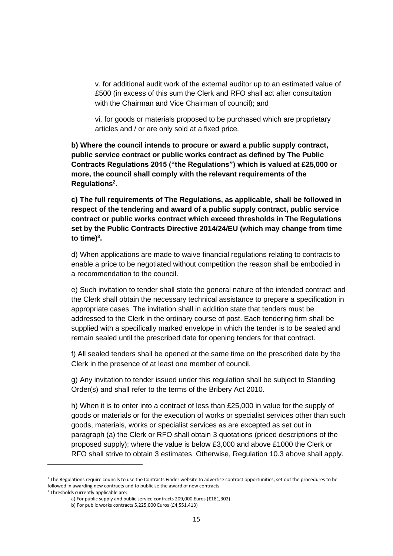v. for additional audit work of the external auditor up to an estimated value of £500 (in excess of this sum the Clerk and RFO shall act after consultation with the Chairman and Vice Chairman of council); and

vi. for goods or materials proposed to be purchased which are proprietary articles and / or are only sold at a fixed price.

**b) Where the council intends to procure or award a public supply contract, public service contract or public works contract as defined by The Public Contracts Regulations 2015 ("the Regulations") which is valued at £25,000 or more, the council shall comply with the relevant requirements of the Regulations<sup>2</sup> .**

**c) The full requirements of The Regulations, as applicable, shall be followed in respect of the tendering and award of a public supply contract, public service contract or public works contract which exceed thresholds in The Regulations set by the Public Contracts Directive 2014/24/EU (which may change from time to time)**<sup>3</sup>.

d) When applications are made to waive financial regulations relating to contracts to enable a price to be negotiated without competition the reason shall be embodied in a recommendation to the council.

e) Such invitation to tender shall state the general nature of the intended contract and the Clerk shall obtain the necessary technical assistance to prepare a specification in appropriate cases. The invitation shall in addition state that tenders must be addressed to the Clerk in the ordinary course of post. Each tendering firm shall be supplied with a specifically marked envelope in which the tender is to be sealed and remain sealed until the prescribed date for opening tenders for that contract.

f) All sealed tenders shall be opened at the same time on the prescribed date by the Clerk in the presence of at least one member of council.

g) Any invitation to tender issued under this regulation shall be subject to Standing Order(s) and shall refer to the terms of the Bribery Act 2010.

h) When it is to enter into a contract of less than £25,000 in value for the supply of goods or materials or for the execution of works or specialist services other than such goods, materials, works or specialist services as are excepted as set out in paragraph (a) the Clerk or RFO shall obtain 3 quotations (priced descriptions of the proposed supply); where the value is below £3,000 and above £1000 the Clerk or RFO shall strive to obtain 3 estimates. Otherwise, Regulation 10.3 above shall apply.

<sup>&</sup>lt;sup>2</sup> The Regulations require councils to use the Contracts Finder website to advertise contract opportunities, set out the procedures to be followed in awarding new contracts and to publicise the award of new contracts

<sup>&</sup>lt;sup>3</sup> Thresholds currently applicable are:

a) For public supply and public service contracts 209,000 Euros (£181,302)

b) For public works contracts 5,225,000 Euros (£4,551,413)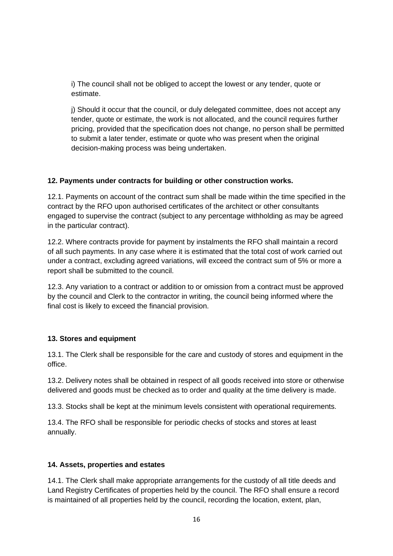i) The council shall not be obliged to accept the lowest or any tender, quote or estimate.

j) Should it occur that the council, or duly delegated committee, does not accept any tender, quote or estimate, the work is not allocated, and the council requires further pricing, provided that the specification does not change, no person shall be permitted to submit a later tender, estimate or quote who was present when the original decision-making process was being undertaken.

#### **12. Payments under contracts for building or other construction works.**

12.1. Payments on account of the contract sum shall be made within the time specified in the contract by the RFO upon authorised certificates of the architect or other consultants engaged to supervise the contract (subject to any percentage withholding as may be agreed in the particular contract).

12.2. Where contracts provide for payment by instalments the RFO shall maintain a record of all such payments. In any case where it is estimated that the total cost of work carried out under a contract, excluding agreed variations, will exceed the contract sum of 5% or more a report shall be submitted to the council.

12.3. Any variation to a contract or addition to or omission from a contract must be approved by the council and Clerk to the contractor in writing, the council being informed where the final cost is likely to exceed the financial provision.

# **13. Stores and equipment**

13.1. The Clerk shall be responsible for the care and custody of stores and equipment in the office.

13.2. Delivery notes shall be obtained in respect of all goods received into store or otherwise delivered and goods must be checked as to order and quality at the time delivery is made.

13.3. Stocks shall be kept at the minimum levels consistent with operational requirements.

13.4. The RFO shall be responsible for periodic checks of stocks and stores at least annually.

#### **14. Assets, properties and estates**

14.1. The Clerk shall make appropriate arrangements for the custody of all title deeds and Land Registry Certificates of properties held by the council. The RFO shall ensure a record is maintained of all properties held by the council, recording the location, extent, plan,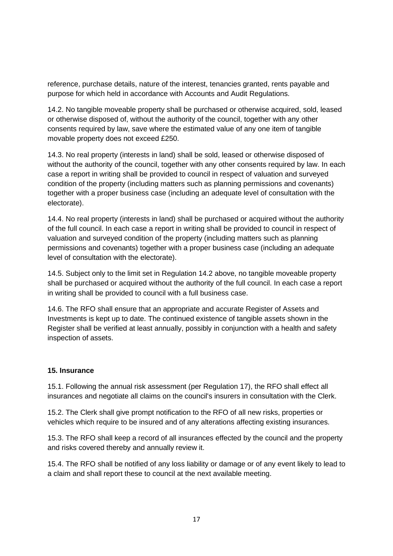reference, purchase details, nature of the interest, tenancies granted, rents payable and purpose for which held in accordance with Accounts and Audit Regulations.

14.2. No tangible moveable property shall be purchased or otherwise acquired, sold, leased or otherwise disposed of, without the authority of the council, together with any other consents required by law, save where the estimated value of any one item of tangible movable property does not exceed £250.

14.3. No real property (interests in land) shall be sold, leased or otherwise disposed of without the authority of the council, together with any other consents required by law. In each case a report in writing shall be provided to council in respect of valuation and surveyed condition of the property (including matters such as planning permissions and covenants) together with a proper business case (including an adequate level of consultation with the electorate).

14.4. No real property (interests in land) shall be purchased or acquired without the authority of the full council. In each case a report in writing shall be provided to council in respect of valuation and surveyed condition of the property (including matters such as planning permissions and covenants) together with a proper business case (including an adequate level of consultation with the electorate).

14.5. Subject only to the limit set in Regulation 14.2 above, no tangible moveable property shall be purchased or acquired without the authority of the full council. In each case a report in writing shall be provided to council with a full business case.

14.6. The RFO shall ensure that an appropriate and accurate Register of Assets and Investments is kept up to date. The continued existence of tangible assets shown in the Register shall be verified at least annually, possibly in conjunction with a health and safety inspection of assets.

# **15. Insurance**

15.1. Following the annual risk assessment (per Regulation 17), the RFO shall effect all insurances and negotiate all claims on the council's insurers in consultation with the Clerk.

15.2. The Clerk shall give prompt notification to the RFO of all new risks, properties or vehicles which require to be insured and of any alterations affecting existing insurances.

15.3. The RFO shall keep a record of all insurances effected by the council and the property and risks covered thereby and annually review it.

15.4. The RFO shall be notified of any loss liability or damage or of any event likely to lead to a claim and shall report these to council at the next available meeting.